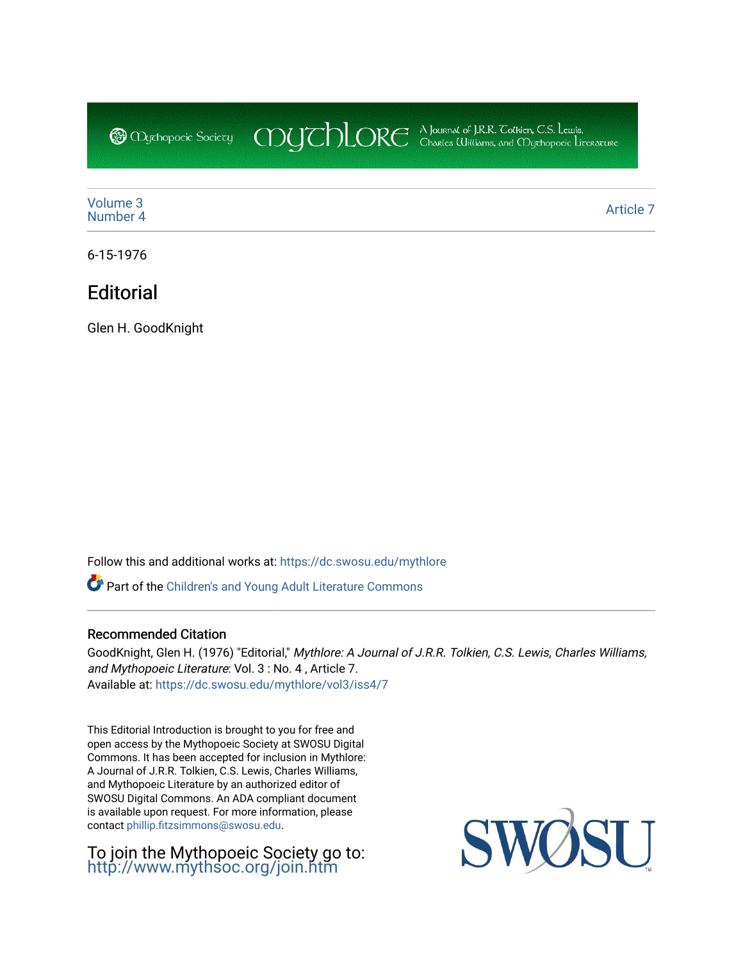CDUCHLORE A Journal of J.R.R. Coltien, C.S. Lewis,<br>CDUCHLORE Charles Williams, and Obyethopoeic Literacure **@** *Oychopoeic* Sociecy

[Volume 3](https://dc.swosu.edu/mythlore/vol3) [Number 4](https://dc.swosu.edu/mythlore/vol3/iss4) [Article 7](https://dc.swosu.edu/mythlore/vol3/iss4/7) Article 7 Article 7 Article 7 Article 7 Article 7 Article 7 Article 7 Article 7 Article 7 Article 7 Article 7 Article 7 Article 7 Article 7 Article 7 Article 7 Article 7 Article 7 Article 7 Article 7 Art

6-15-1976

## **Editorial**

Glen H. GoodKnight

Follow this and additional works at: [https://dc.swosu.edu/mythlore](https://dc.swosu.edu/mythlore?utm_source=dc.swosu.edu%2Fmythlore%2Fvol3%2Fiss4%2F7&utm_medium=PDF&utm_campaign=PDFCoverPages) 

Part of the [Children's and Young Adult Literature Commons](http://network.bepress.com/hgg/discipline/1289?utm_source=dc.swosu.edu%2Fmythlore%2Fvol3%2Fiss4%2F7&utm_medium=PDF&utm_campaign=PDFCoverPages) 

### Recommended Citation

GoodKnight, Glen H. (1976) "Editorial," Mythlore: A Journal of J.R.R. Tolkien, C.S. Lewis, Charles Williams, and Mythopoeic Literature: Vol. 3 : No. 4 , Article 7. Available at: [https://dc.swosu.edu/mythlore/vol3/iss4/7](https://dc.swosu.edu/mythlore/vol3/iss4/7?utm_source=dc.swosu.edu%2Fmythlore%2Fvol3%2Fiss4%2F7&utm_medium=PDF&utm_campaign=PDFCoverPages)

This Editorial Introduction is brought to you for free and open access by the Mythopoeic Society at SWOSU Digital Commons. It has been accepted for inclusion in Mythlore: A Journal of J.R.R. Tolkien, C.S. Lewis, Charles Williams, and Mythopoeic Literature by an authorized editor of SWOSU Digital Commons. An ADA compliant document is available upon request. For more information, please contact [phillip.fitzsimmons@swosu.edu.](mailto:phillip.fitzsimmons@swosu.edu)

To join the Mythopoeic Society go to: <http://www.mythsoc.org/join.htm>

SWO STT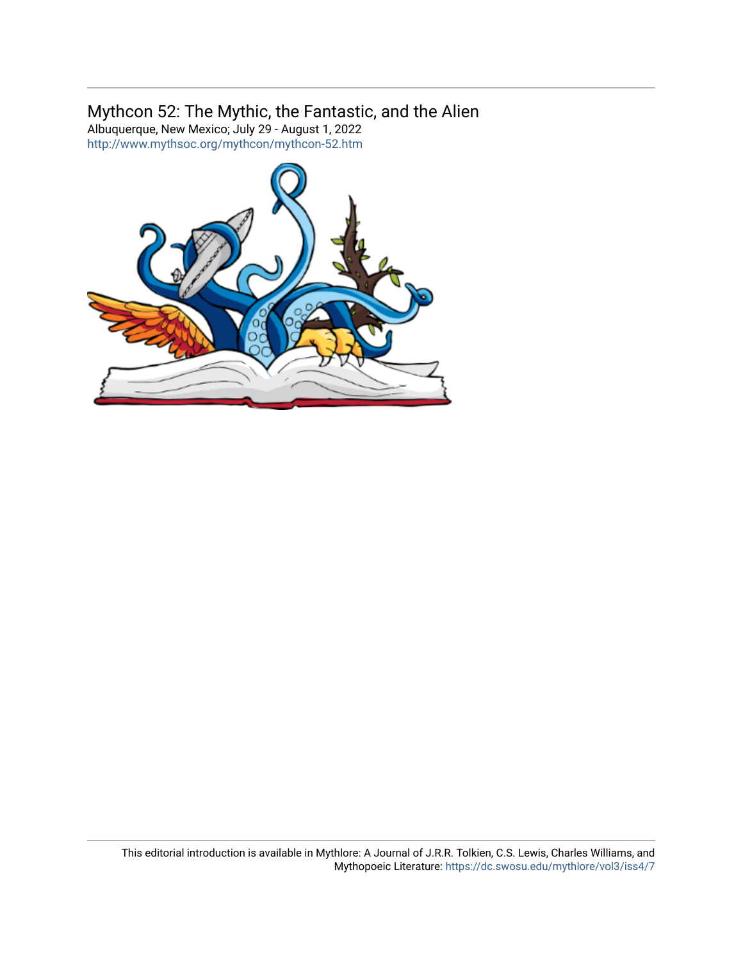### Mythcon 52: The Mythic, the Fantastic, and the Alien

Albuquerque, New Mexico; July 29 - August 1, 2022 <http://www.mythsoc.org/mythcon/mythcon-52.htm>